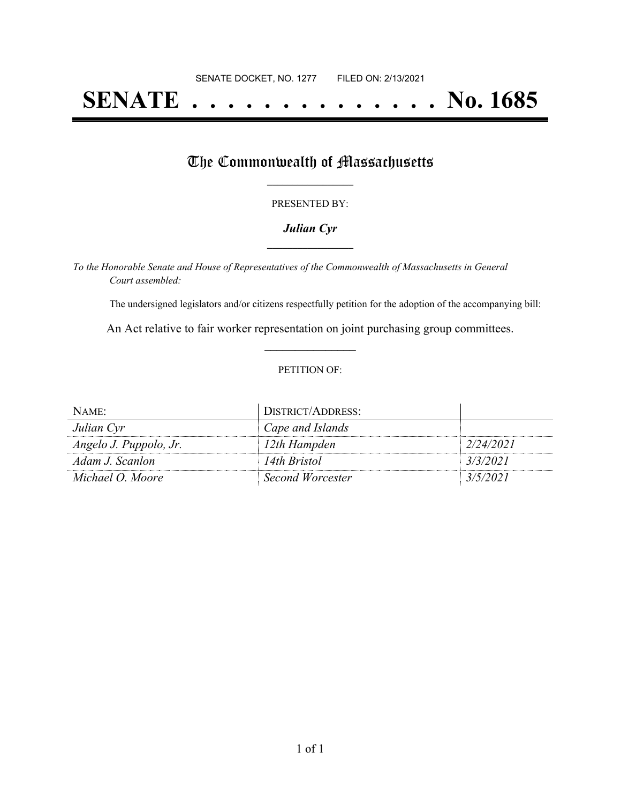# **SENATE . . . . . . . . . . . . . . No. 1685**

## The Commonwealth of Massachusetts

#### PRESENTED BY:

#### *Julian Cyr* **\_\_\_\_\_\_\_\_\_\_\_\_\_\_\_\_\_**

*To the Honorable Senate and House of Representatives of the Commonwealth of Massachusetts in General Court assembled:*

The undersigned legislators and/or citizens respectfully petition for the adoption of the accompanying bill:

An Act relative to fair worker representation on joint purchasing group committees. **\_\_\_\_\_\_\_\_\_\_\_\_\_\_\_**

#### PETITION OF:

| NAME:                  | DISTRICT/ADDRESS:       |           |
|------------------------|-------------------------|-----------|
| Julian Cyr             | Cape and Islands        |           |
| Angelo J. Puppolo, Jr. | 12th Hampden            | 2/24/2021 |
| Adam J. Scanlon        | 14th Bristol            | 3/3/2021  |
| Michael O. Moore       | <b>Second Worcester</b> | 3/5/2021  |